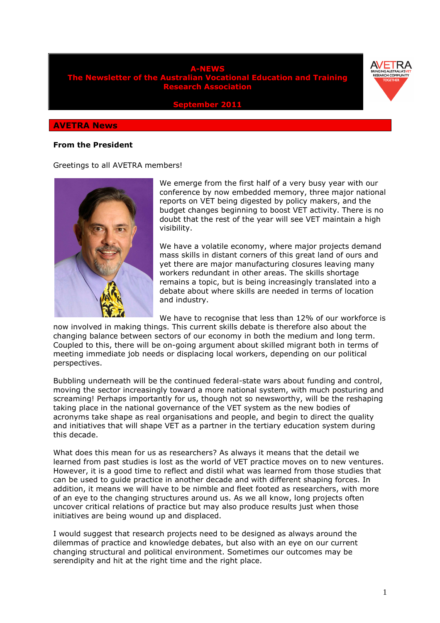



**September 2011** 

#### **AVETRA News**

#### **From the President**

Greetings to all AVETRA members!



We emerge from the first half of a very busy year with our conference by now embedded memory, three major national reports on VET being digested by policy makers, and the budget changes beginning to boost VET activity. There is no doubt that the rest of the year will see VET maintain a high visibility.

We have a volatile economy, where major projects demand mass skills in distant corners of this great land of ours and yet there are major manufacturing closures leaving many workers redundant in other areas. The skills shortage remains a topic, but is being increasingly translated into a debate about where skills are needed in terms of location and industry.

We have to recognise that less than 12% of our workforce is

now involved in making things. This current skills debate is therefore also about the changing balance between sectors of our economy in both the medium and long term. Coupled to this, there will be on-going argument about skilled migrant both in terms of meeting immediate job needs or displacing local workers, depending on our political perspectives.

Bubbling underneath will be the continued federal-state wars about funding and control, moving the sector increasingly toward a more national system, with much posturing and screaming! Perhaps importantly for us, though not so newsworthy, will be the reshaping taking place in the national governance of the VET system as the new bodies of acronyms take shape as real organisations and people, and begin to direct the quality and initiatives that will shape VET as a partner in the tertiary education system during this decade.

What does this mean for us as researchers? As always it means that the detail we learned from past studies is lost as the world of VET practice moves on to new ventures. However, it is a good time to reflect and distil what was learned from those studies that can be used to guide practice in another decade and with different shaping forces. In addition, it means we will have to be nimble and fleet footed as researchers, with more of an eye to the changing structures around us. As we all know, long projects often uncover critical relations of practice but may also produce results just when those initiatives are being wound up and displaced.

I would suggest that research projects need to be designed as always around the dilemmas of practice and knowledge debates, but also with an eye on our current changing structural and political environment. Sometimes our outcomes may be serendipity and hit at the right time and the right place.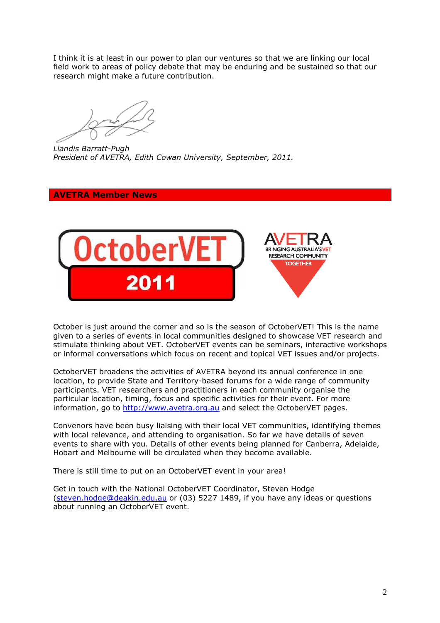I think it is at least in our power to plan our ventures so that we are linking our local field work to areas of policy debate that may be enduring and be sustained so that our research might make a future contribution.

*Llandis Barratt-Pugh President of AVETRA, Edith Cowan University, September, 2011.* 

# **AVETRA Member News**



October is just around the corner and so is the season of OctoberVET! This is the name given to a series of events in local communities designed to showcase VET research and stimulate thinking about VET. OctoberVET events can be seminars, interactive workshops or informal conversations which focus on recent and topical VET issues and/or projects.

OctoberVET broadens the activities of AVETRA beyond its annual conference in one location, to provide State and Territory-based forums for a wide range of community participants. VET researchers and practitioners in each community organise the particular location, timing, focus and specific activities for their event. For more information, go to http://www.avetra.org.au and select the OctoberVET pages.

Convenors have been busy liaising with their local VET communities, identifying themes with local relevance, and attending to organisation. So far we have details of seven events to share with you. Details of other events being planned for Canberra, Adelaide, Hobart and Melbourne will be circulated when they become available.

There is still time to put on an OctoberVET event in your area!

Get in touch with the National OctoberVET Coordinator, Steven Hodge (steven.hodge@deakin.edu.au or (03) 5227 1489, if you have any ideas or questions about running an OctoberVET event.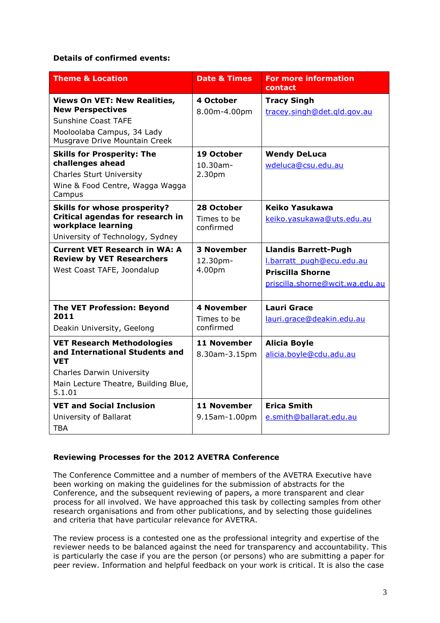## **Details of confirmed events:**

| <b>Theme &amp; Location</b>                                                                                                                                             | <b>Date &amp; Times</b>                       | <b>For more information</b><br>contact                                                                                 |
|-------------------------------------------------------------------------------------------------------------------------------------------------------------------------|-----------------------------------------------|------------------------------------------------------------------------------------------------------------------------|
| <b>Views On VET: New Realities,</b><br><b>New Perspectives</b><br><b>Sunshine Coast TAFE</b><br>Mooloolaba Campus, 34 Lady<br>Musgrave Drive Mountain Creek             | 4 October<br>8.00m-4.00pm                     | <b>Tracy Singh</b><br>tracey.singh@det.gld.gov.au                                                                      |
| <b>Skills for Prosperity: The</b><br>challenges ahead<br><b>Charles Sturt University</b><br>Wine & Food Centre, Wagga Wagga<br>Campus                                   | 19 October<br>$10.30$ am-<br>2.30pm           | <b>Wendy DeLuca</b><br>wdeluca@csu.edu.au                                                                              |
| <b>Skills for whose prosperity?</b><br>Critical agendas for research in<br>workplace learning<br>University of Technology, Sydney                                       | 28 October<br>Times to be<br>confirmed        | Keiko Yasukawa<br>keiko.yasukawa@uts.edu.au                                                                            |
| <b>Current VET Research in WA: A</b><br><b>Review by VET Researchers</b><br>West Coast TAFE, Joondalup                                                                  | <b>3 November</b><br>12.30pm-<br>4.00pm       | <b>Llandis Barrett-Pugh</b><br>l.barratt pugh@ecu.edu.au<br><b>Priscilla Shorne</b><br>priscilla.shorne@wcit.wa.edu.au |
| <b>The VET Profession: Beyond</b><br>2011<br>Deakin University, Geelong                                                                                                 | <b>4 November</b><br>Times to be<br>confirmed | <b>Lauri Grace</b><br>lauri.grace@deakin.edu.au                                                                        |
| <b>VET Research Methodologies</b><br>and International Students and<br><b>VET</b><br><b>Charles Darwin University</b><br>Main Lecture Theatre, Building Blue,<br>5.1.01 | 11 November<br>8.30am-3.15pm                  | <b>Alicia Boyle</b><br>alicia.boyle@cdu.adu.au                                                                         |
| <b>VET and Social Inclusion</b><br>University of Ballarat<br>TBA                                                                                                        | 11 November<br>9.15am-1.00pm                  | <b>Erica Smith</b><br>e.smith@ballarat.edu.au                                                                          |

## **Reviewing Processes for the 2012 AVETRA Conference**

The Conference Committee and a number of members of the AVETRA Executive have been working on making the guidelines for the submission of abstracts for the Conference, and the subsequent reviewing of papers, a more transparent and clear process for all involved. We have approached this task by collecting samples from other research organisations and from other publications, and by selecting those guidelines and criteria that have particular relevance for AVETRA.

The review process is a contested one as the professional integrity and expertise of the reviewer needs to be balanced against the need for transparency and accountability. This is particularly the case if you are the person (or persons) who are submitting a paper for peer review. Information and helpful feedback on your work is critical. It is also the case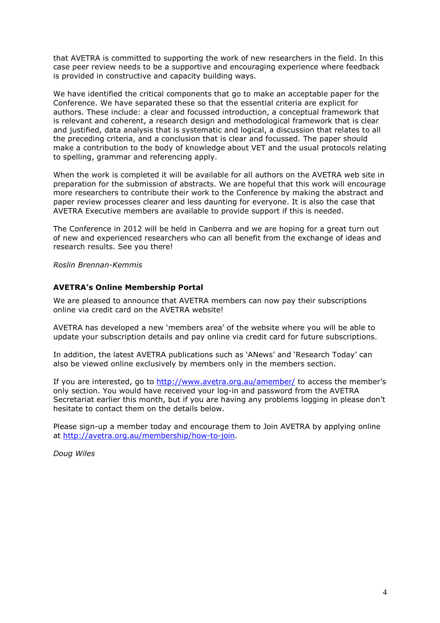that AVETRA is committed to supporting the work of new researchers in the field. In this case peer review needs to be a supportive and encouraging experience where feedback is provided in constructive and capacity building ways.

We have identified the critical components that go to make an acceptable paper for the Conference. We have separated these so that the essential criteria are explicit for authors. These include: a clear and focussed introduction, a conceptual framework that is relevant and coherent, a research design and methodological framework that is clear and justified, data analysis that is systematic and logical, a discussion that relates to all the preceding criteria, and a conclusion that is clear and focussed. The paper should make a contribution to the body of knowledge about VET and the usual protocols relating to spelling, grammar and referencing apply.

When the work is completed it will be available for all authors on the AVETRA web site in preparation for the submission of abstracts. We are hopeful that this work will encourage more researchers to contribute their work to the Conference by making the abstract and paper review processes clearer and less daunting for everyone. It is also the case that AVETRA Executive members are available to provide support if this is needed.

The Conference in 2012 will be held in Canberra and we are hoping for a great turn out of new and experienced researchers who can all benefit from the exchange of ideas and research results. See you there!

*Roslin Brennan-Kemmis* 

### **AVETRA's Online Membership Portal**

We are pleased to announce that AVETRA members can now pay their subscriptions online via credit card on the AVETRA website!

AVETRA has developed a new 'members area' of the website where you will be able to update your subscription details and pay online via credit card for future subscriptions.

In addition, the latest AVETRA publications such as 'ANews' and 'Research Today' can also be viewed online exclusively by members only in the members section.

If you are interested, go to http://www.avetra.org.au/amember/ to access the member's only section. You would have received your log-in and password from the AVETRA Secretariat earlier this month, but if you are having any problems logging in please don't hesitate to contact them on the details below.

Please sign-up a member today and encourage them to Join AVETRA by applying online at http://avetra.org.au/membership/how-to-join.

*Doug Wiles*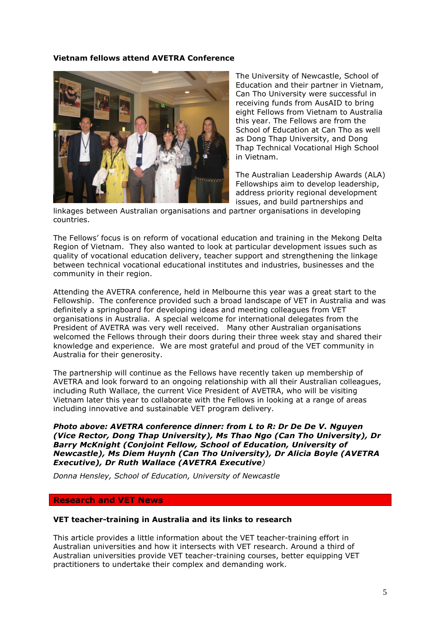### **Vietnam fellows attend AVETRA Conference**



The University of Newcastle, School of Education and their partner in Vietnam, Can Tho University were successful in receiving funds from AusAID to bring eight Fellows from Vietnam to Australia this year. The Fellows are from the School of Education at Can Tho as well as Dong Thap University, and Dong Thap Technical Vocational High School in Vietnam.

The Australian Leadership Awards (ALA) Fellowships aim to develop leadership, address priority regional development issues, and build partnerships and

linkages between Australian organisations and partner organisations in developing countries.

The Fellows' focus is on reform of vocational education and training in the Mekong Delta Region of Vietnam. They also wanted to look at particular development issues such as quality of vocational education delivery, teacher support and strengthening the linkage between technical vocational educational institutes and industries, businesses and the community in their region.

Attending the AVETRA conference, held in Melbourne this year was a great start to the Fellowship. The conference provided such a broad landscape of VET in Australia and was definitely a springboard for developing ideas and meeting colleagues from VET organisations in Australia. A special welcome for international delegates from the President of AVETRA was very well received. Many other Australian organisations welcomed the Fellows through their doors during their three week stay and shared their knowledge and experience. We are most grateful and proud of the VET community in Australia for their generosity.

The partnership will continue as the Fellows have recently taken up membership of AVETRA and look forward to an ongoing relationship with all their Australian colleagues, including Ruth Wallace, the current Vice President of AVETRA, who will be visiting Vietnam later this year to collaborate with the Fellows in looking at a range of areas including innovative and sustainable VET program delivery.

*Photo above: AVETRA conference dinner: from L to R: Dr De De V. Nguyen (Vice Rector, Dong Thap University), Ms Thao Ngo (Can Tho University), Dr Barry McKnight (Conjoint Fellow, School of Education, University of Newcastle), Ms Diem Huynh (Can Tho University), Dr Alicia Boyle (AVETRA Executive), Dr Ruth Wallace (AVETRA Executive)*

*Donna Hensley, School of Education, University of Newcastle* 

#### **Research and VET News**

#### **VET teacher-training in Australia and its links to research**

This article provides a little information about the VET teacher-training effort in Australian universities and how it intersects with VET research. Around a third of Australian universities provide VET teacher-training courses, better equipping VET practitioners to undertake their complex and demanding work.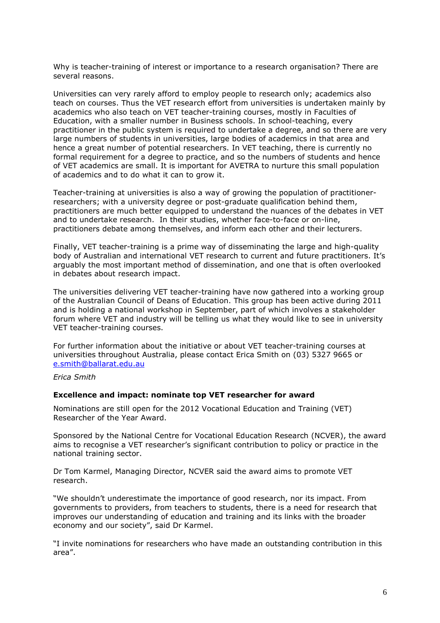Why is teacher-training of interest or importance to a research organisation? There are several reasons.

Universities can very rarely afford to employ people to research only; academics also teach on courses. Thus the VET research effort from universities is undertaken mainly by academics who also teach on VET teacher-training courses, mostly in Faculties of Education, with a smaller number in Business schools. In school-teaching, every practitioner in the public system is required to undertake a degree, and so there are very large numbers of students in universities, large bodies of academics in that area and hence a great number of potential researchers. In VET teaching, there is currently no formal requirement for a degree to practice, and so the numbers of students and hence of VET academics are small. It is important for AVETRA to nurture this small population of academics and to do what it can to grow it.

Teacher-training at universities is also a way of growing the population of practitionerresearchers; with a university degree or post-graduate qualification behind them, practitioners are much better equipped to understand the nuances of the debates in VET and to undertake research. In their studies, whether face-to-face or on-line, practitioners debate among themselves, and inform each other and their lecturers.

Finally, VET teacher-training is a prime way of disseminating the large and high-quality body of Australian and international VET research to current and future practitioners. It's arguably the most important method of dissemination, and one that is often overlooked in debates about research impact.

The universities delivering VET teacher-training have now gathered into a working group of the Australian Council of Deans of Education. This group has been active during 2011 and is holding a national workshop in September, part of which involves a stakeholder forum where VET and industry will be telling us what they would like to see in university VET teacher-training courses.

For further information about the initiative or about VET teacher-training courses at universities throughout Australia, please contact Erica Smith on (03) 5327 9665 or e.smith@ballarat.edu.au

*Erica Smith* 

#### **Excellence and impact: nominate top VET researcher for award**

Nominations are still open for the 2012 Vocational Education and Training (VET) Researcher of the Year Award.

Sponsored by the National Centre for Vocational Education Research (NCVER), the award aims to recognise a VET researcher's significant contribution to policy or practice in the national training sector.

Dr Tom Karmel, Managing Director, NCVER said the award aims to promote VET research.

"We shouldn't underestimate the importance of good research, nor its impact. From governments to providers, from teachers to students, there is a need for research that improves our understanding of education and training and its links with the broader economy and our society", said Dr Karmel.

"I invite nominations for researchers who have made an outstanding contribution in this area".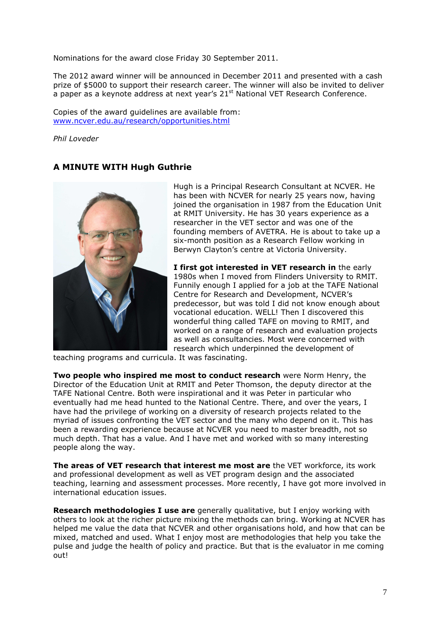Nominations for the award close Friday 30 September 2011.

The 2012 award winner will be announced in December 2011 and presented with a cash prize of \$5000 to support their research career. The winner will also be invited to deliver a paper as a keynote address at next year's  $21<sup>st</sup>$  National VET Research Conference.

Copies of the award guidelines are available from: www.ncver.edu.au/research/opportunities.html

*Phil Loveder* 

# **A MINUTE WITH Hugh Guthrie**



Hugh is a Principal Research Consultant at NCVER. He has been with NCVER for nearly 25 years now, having joined the organisation in 1987 from the Education Unit at RMIT University. He has 30 years experience as a researcher in the VET sector and was one of the founding members of AVETRA. He is about to take up a six-month position as a Research Fellow working in Berwyn Clayton's centre at Victoria University.

**I first got interested in VET research in** the early 1980s when I moved from Flinders University to RMIT. Funnily enough I applied for a job at the TAFE National Centre for Research and Development, NCVER's predecessor, but was told I did not know enough about vocational education. WELL! Then I discovered this wonderful thing called TAFE on moving to RMIT, and worked on a range of research and evaluation projects as well as consultancies. Most were concerned with research which underpinned the development of

teaching programs and curricula. It was fascinating.

**Two people who inspired me most to conduct research** were Norm Henry, the Director of the Education Unit at RMIT and Peter Thomson, the deputy director at the TAFE National Centre. Both were inspirational and it was Peter in particular who eventually had me head hunted to the National Centre. There, and over the years, I have had the privilege of working on a diversity of research projects related to the myriad of issues confronting the VET sector and the many who depend on it. This has been a rewarding experience because at NCVER you need to master breadth, not so much depth. That has a value. And I have met and worked with so many interesting people along the way.

**The areas of VET research that interest me most are** the VET workforce, its work and professional development as well as VET program design and the associated teaching, learning and assessment processes. More recently, I have got more involved in international education issues.

**Research methodologies I use are** generally qualitative, but I enjoy working with others to look at the richer picture mixing the methods can bring. Working at NCVER has helped me value the data that NCVER and other organisations hold, and how that can be mixed, matched and used. What I enjoy most are methodologies that help you take the pulse and judge the health of policy and practice. But that is the evaluator in me coming out!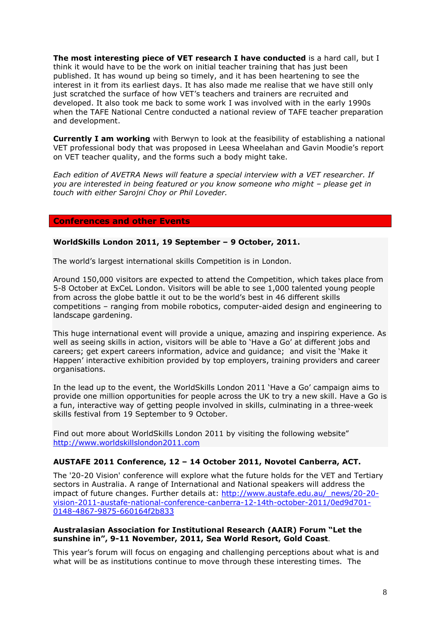**The most interesting piece of VET research I have conducted** is a hard call, but I think it would have to be the work on initial teacher training that has just been published. It has wound up being so timely, and it has been heartening to see the interest in it from its earliest days. It has also made me realise that we have still only just scratched the surface of how VET's teachers and trainers are recruited and developed. It also took me back to some work I was involved with in the early 1990s when the TAFE National Centre conducted a national review of TAFE teacher preparation and development.

**Currently I am working** with Berwyn to look at the feasibility of establishing a national VET professional body that was proposed in Leesa Wheelahan and Gavin Moodie's report on VET teacher quality, and the forms such a body might take.

*Each edition of AVETRA News will feature a special interview with a VET researcher. If you are interested in being featured or you know someone who might – please get in touch with either Sarojni Choy or Phil Loveder.* 

#### **Conferences and other Events**

#### **WorldSkills London 2011, 19 September – 9 October, 2011.**

The world's largest international skills Competition is in London.

Around 150,000 visitors are expected to attend the Competition, which takes place from 5-8 October at ExCeL London. Visitors will be able to see 1,000 talented young people from across the globe battle it out to be the world's best in 46 different skills competitions – ranging from mobile robotics, computer-aided design and engineering to landscape gardening.

This huge international event will provide a unique, amazing and inspiring experience. As well as seeing skills in action, visitors will be able to 'Have a Go' at different jobs and careers; get expert careers information, advice and guidance; and visit the 'Make it Happen' interactive exhibition provided by top employers, training providers and career organisations.

In the lead up to the event, the WorldSkills London 2011 'Have a Go' campaign aims to provide one million opportunities for people across the UK to try a new skill. Have a Go is a fun, interactive way of getting people involved in skills, culminating in a three-week skills festival from 19 September to 9 October.

Find out more about WorldSkills London 2011 by visiting the following website" http://www.worldskillslondon2011.com

### **AUSTAFE 2011 Conference, 12 – 14 October 2011, Novotel Canberra, ACT.**

The '20-20 Vision' conference will explore what the future holds for the VET and Tertiary sectors in Australia. A range of International and National speakers will address the impact of future changes. Further details at: http://www.austafe.edu.au/\_news/20-20vision-2011-austafe-national-conference-canberra-12-14th-october-2011/0ed9d701- 0148-4867-9875-660164f2b833

#### **Australasian Association for Institutional Research (AAIR) Forum "Let the sunshine in", 9-11 November, 2011, Sea World Resort, Gold Coast**.

This year's forum will focus on engaging and challenging perceptions about what is and what will be as institutions continue to move through these interesting times. The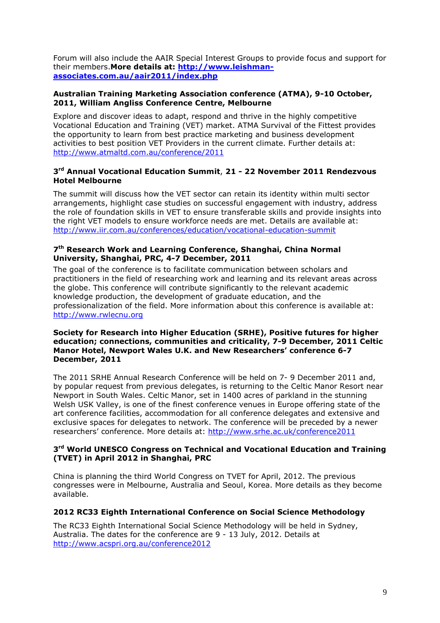Forum will also include the AAIR Special Interest Groups to provide focus and support for their members.**More details at: http://www.leishmanassociates.com.au/aair2011/index.php** 

### **Australian Training Marketing Association conference (ATMA), 9-10 October, 2011, William Angliss Conference Centre, Melbourne**

Explore and discover ideas to adapt, respond and thrive in the highly competitive Vocational Education and Training (VET) market. ATMA Survival of the Fittest provides the opportunity to learn from best practice marketing and business development activities to best position VET Providers in the current climate. Further details at: http://www.atmaltd.com.au/conference/2011

## **3 rd Annual Vocational Education Summit**, **21 - 22 November 2011 Rendezvous Hotel Melbourne**

The summit will discuss how the VET sector can retain its identity within multi sector arrangements, highlight case studies on successful engagement with industry, address the role of foundation skills in VET to ensure transferable skills and provide insights into the right VET models to ensure workforce needs are met. Details are available at: http://www.iir.com.au/conferences/education/vocational-education-summit

## **7 th Research Work and Learning Conference, Shanghai, China Normal University, Shanghai, PRC, 4-7 December, 2011**

The goal of the conference is to facilitate communication between scholars and practitioners in the field of researching work and learning and its relevant areas across the globe. This conference will contribute significantly to the relevant academic knowledge production, the development of graduate education, and the professionalization of the field. More information about this conference is available at: http://www.rwlecnu.org

#### **Society for Research into Higher Education (SRHE), Positive futures for higher education; connections, communities and criticality, 7-9 December, 2011 Celtic Manor Hotel, Newport Wales U.K. and New Researchers' conference 6-7 December, 2011**

The 2011 SRHE Annual Research Conference will be held on 7- 9 December 2011 and, by popular request from previous delegates, is returning to the Celtic Manor Resort near Newport in South Wales. Celtic Manor, set in 1400 acres of parkland in the stunning Welsh USK Valley, is one of the finest conference venues in Europe offering state of the art conference facilities, accommodation for all conference delegates and extensive and exclusive spaces for delegates to network. The conference will be preceded by a newer researchers' conference. More details at: http://www.srhe.ac.uk/conference2011

### **3 rd World UNESCO Congress on Technical and Vocational Education and Training (TVET) in April 2012 in Shanghai, PRC**

China is planning the third World Congress on TVET for April, 2012. The previous congresses were in Melbourne, Australia and Seoul, Korea. More details as they become available.

## **2012 RC33 Eighth International Conference on Social Science Methodology**

The RC33 Eighth International Social Science Methodology will be held in Sydney, Australia. The dates for the conference are 9 - 13 July, 2012. Details at http://www.acspri.org.au/conference2012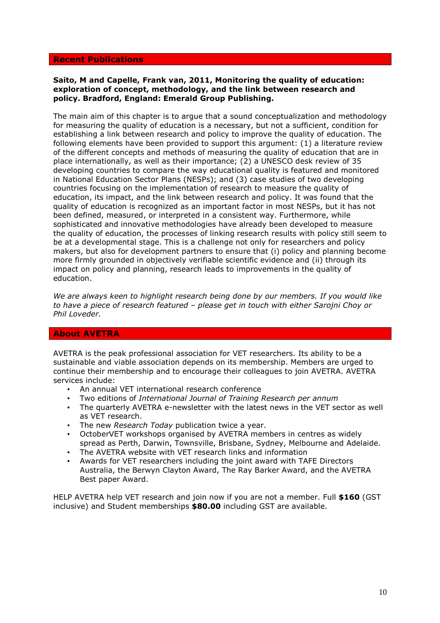#### **Recent Publications**

#### **Saito, M and Capelle, Frank van, 2011, Monitoring the quality of education: exploration of concept, methodology, and the link between research and policy. Bradford, England: Emerald Group Publishing.**

The main aim of this chapter is to argue that a sound conceptualization and methodology for measuring the quality of education is a necessary, but not a sufficient, condition for establishing a link between research and policy to improve the quality of education. The following elements have been provided to support this argument: (1) a literature review of the different concepts and methods of measuring the quality of education that are in place internationally, as well as their importance; (2) a UNESCO desk review of 35 developing countries to compare the way educational quality is featured and monitored in National Education Sector Plans (NESPs); and (3) case studies of two developing countries focusing on the implementation of research to measure the quality of education, its impact, and the link between research and policy. It was found that the quality of education is recognized as an important factor in most NESPs, but it has not been defined, measured, or interpreted in a consistent way. Furthermore, while sophisticated and innovative methodologies have already been developed to measure the quality of education, the processes of linking research results with policy still seem to be at a developmental stage. This is a challenge not only for researchers and policy makers, but also for development partners to ensure that (i) policy and planning become more firmly grounded in objectively verifiable scientific evidence and (ii) through its impact on policy and planning, research leads to improvements in the quality of education.

*We are always keen to highlight research being done by our members. If you would like to have a piece of research featured – please get in touch with either Sarojni Choy or Phil Loveder.* 

### **About AVETRA**

AVETRA is the peak professional association for VET researchers. Its ability to be a sustainable and viable association depends on its membership. Members are urged to continue their membership and to encourage their colleagues to join AVETRA. AVETRA services include:

- An annual VET international research conference
- Two editions of *International Journal of Training Research per annum*
- The quarterly AVETRA e-newsletter with the latest news in the VET sector as well as VET research.
- The new *Research Today* publication twice a year.
- OctoberVET workshops organised by AVETRA members in centres as widely spread as Perth, Darwin, Townsville, Brisbane, Sydney, Melbourne and Adelaide.
- The AVETRA website with VET research links and information
- Awards for VET researchers including the joint award with TAFE Directors Australia, the Berwyn Clayton Award, The Ray Barker Award, and the AVETRA Best paper Award.

HELP AVETRA help VET research and join now if you are not a member. Full **\$160** (GST inclusive) and Student memberships **\$80.00** including GST are available.